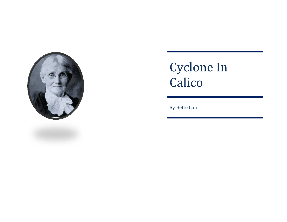

# Cyclone In Calico

By Bette Lou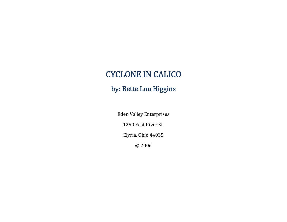# CYCLONE IN CALICO

## by: Bette Lou Higgins

Eden Valley Enterprises 1250 East River St. Elyria, Ohio 44035 © 2006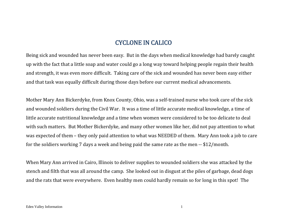### **CYCLONE IN CALICO**

Being sick and wounded has never been easy. But in the days when medical knowledge had barely caught up with the fact that a little soap and water could go a long way toward helping people regain their health and strength, it was even more difficult. Taking care of the sick and wounded has never been easy either and that task was equally difficult during those days before our current medical advancements.

Mother Mary Ann Bickerdyke, from Knox County, Ohio, was a self-trained nurse who took care of the sick and wounded soldiers during the Civil War. It was a time of little accurate medical knowledge, a time of little accurate nutritional knowledge and a time when women were considered to be too delicate to deal with such matters. But Mother Bickerdyke, and many other women like her, did not pay attention to what was expected of them – they only paid attention to what was NEEDED of them. Mary Ann took a job to care for the soldiers working 7 days a week and being paid the same rate as the men  $-$  \$12/month.

When Mary Ann arrived in Cairo, Illinois to deliver supplies to wounded soldiers she was attacked by the stench and filth that was all around the camp. She looked out in disgust at the piles of garbage, dead dogs and the rats that were everywhere. Even healthy men could hardly remain so for long in this spot! The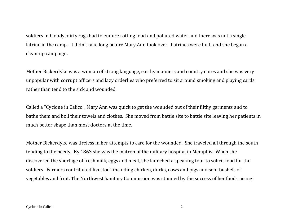soldiers in bloody, dirty rags had to endure rotting food and polluted water and there was not a single latrine in the camp. It didn't take long before Mary Ann took over. Latrines were built and she began a clean-up campaign.

Mother Bickerdyke was a woman of strong language, earthy manners and country cures and she was very unpopular with corrupt officers and lazy orderlies who preferred to sit around smoking and playing cards rather than tend to the sick and wounded.

Called a "Cyclone in Calico", Mary Ann was quick to get the wounded out of their filthy garments and to bathe them and boil their towels and clothes. She moved from battle site to battle site leaving her patients in much better shape than most doctors at the time.

Mother Bickerdyke was tireless in her attempts to care for the wounded. She traveled all through the south tending to the needy. By 1863 she was the matron of the military hospital in Memphis. When she discovered the shortage of fresh milk, eggs and meat, she launched a speaking tour to solicit food for the soldiers. Farmers contributed livestock including chicken, ducks, cows and pigs and sent bushels of vegetables and fruit. The Northwest Sanitary Commission was stunned by the success of her food-raising!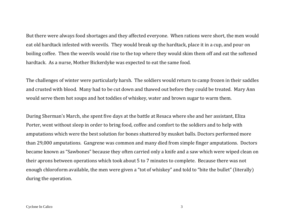But there were always food shortages and they affected everyone. When rations were short, the men would eat old hardtack infested with weevils. They would break up the hardtack, place it in a cup, and pour on boiling coffee. Then the weevils would rise to the top where they would skim them off and eat the softened hardtack. As a nurse, Mother Bickerdyke was expected to eat the same food.

The challenges of winter were particularly harsh. The soldiers would return to camp frozen in their saddles and crusted with blood. Many had to be cut down and thawed out before they could be treated. Mary Ann would serve them hot soups and hot toddies of whiskey, water and brown sugar to warm them.

During Sherman's March, she spent five days at the battle at Resaca where she and her assistant, Eliza Porter, went without sleep in order to bring food, coffee and comfort to the soldiers and to help with amputations which were the best solution for bones shattered by musket balls. Doctors performed more than 29,000 amputations. Gangrene was common and many died from simple finger amputations. Doctors became known as "Sawbones" because they often carried only a knife and a saw which were wiped clean on their aprons between operations which took about 5 to 7 minutes to complete. Because there was not enough chloroform available, the men were given a "tot of whiskey" and told to "bite the bullet" (literally) during the operation.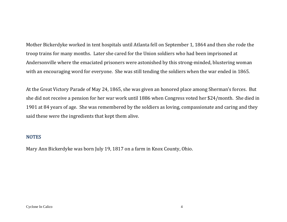Mother Bickerdyke worked in tent hospitals until Atlanta fell on September 1, 1864 and then she rode the troop trains for many months. Later she cared for the Union soldiers who had been imprisoned at Andersonville where the emaciated prisoners were astonished by this strong-minded, blustering woman with an encouraging word for everyone. She was still tending the soldiers when the war ended in 1865.

At the Great Victory Parade of May 24, 1865, she was given an honored place among Sherman's forces. But she did not receive a pension for her war work until 1886 when Congress voted her \$24/month. She died in 1901 at 84 years of age. She was remembered by the soldiers as loving, compassionate and caring and they said these were the ingredients that kept them alive.

#### **NOTES**

Mary Ann Bickerdyke was born July 19, 1817 on a farm in Knox County, Ohio.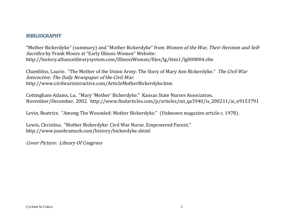#### BIBILIOGRAPHY

"Mother Bickerdyke" (summary) and "Mother Bickerdyke" from *Women of the War, Their Heroism and Self-*Sacrifice by Frank Moore at "Early Illinois Women" Website: http://history.alliancelibrarysystem.com/IllinoisWomen/files/lg/htm1/lg000004.cfm 

Chambliss, Laurie. "The Mother of the Union Army: The Story of Mary Ann Bickerdyke." The Civil War Interactive: The Daily Newspaper of the Civil War. http://www.civilwarinteractive.com/ArticleMotherBickerdyke.htm 

Cottingham-Adams, Lu. "Mary 'Mother' Bickerdyke." Kansas State Nurses Association. November/December, 2002. http://www.findarticles.com/p/articles/mi\_qa3940/is\_200211/ai\_n9153791

Levin, Beatrice. "Among The Wounded: Mother Bickerdyke." (Unknown magazine article c. 1978).

Lewis, Christina. "Mother Bickerdyke: Civil War Nurse. Empowered Parent." http://www.joanbramsch.com/history/bickerdyke.shtml 

Cover Picture: Library Of Congress